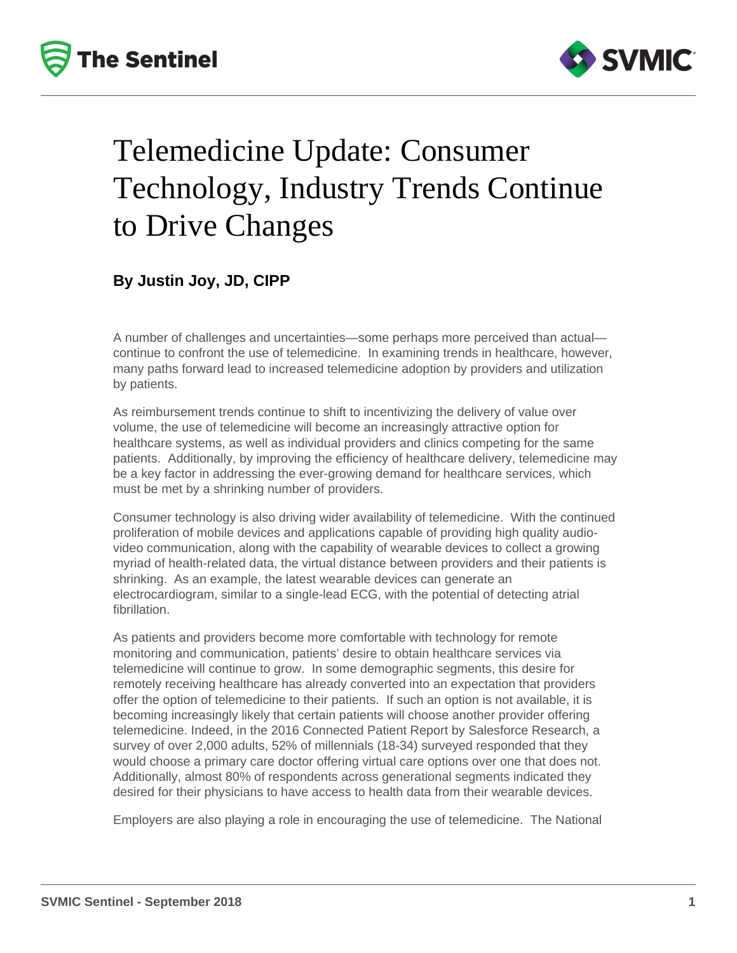



# Telemedicine Update: Consumer Technology, Industry Trends Continue to Drive Changes

## **By Justin Joy, JD, CIPP**

A number of challenges and uncertainties—some perhaps more perceived than actual continue to confront the use of telemedicine. In examining trends in healthcare, however, many paths forward lead to increased telemedicine adoption by providers and utilization by patients.

As reimbursement trends continue to shift to incentivizing the delivery of value over volume, the use of telemedicine will become an increasingly attractive option for healthcare systems, as well as individual providers and clinics competing for the same patients. Additionally, by improving the efficiency of healthcare delivery, telemedicine may be a key factor in addressing the ever-growing demand for healthcare services, which must be met by a shrinking number of providers.

Consumer technology is also driving wider availability of telemedicine. With the continued proliferation of mobile devices and applications capable of providing high quality audiovideo communication, along with the capability of wearable devices to collect a growing myriad of health-related data, the virtual distance between providers and their patients is shrinking. As an example, the latest wearable devices can generate an electrocardiogram, similar to a single-lead ECG, with the potential of detecting atrial fibrillation.

As patients and providers become more comfortable with technology for remote monitoring and communication, patients' desire to obtain healthcare services via telemedicine will continue to grow. In some demographic segments, this desire for remotely receiving healthcare has already converted into an expectation that providers offer the option of telemedicine to their patients. If such an option is not available, it is becoming increasingly likely that certain patients will choose another provider offering telemedicine. Indeed, in the 2016 Connected Patient Report by Salesforce Research, a survey of over 2,000 adults, 52% of millennials (18-34) surveyed responded that they would choose a primary care doctor offering virtual care options over one that does not. Additionally, almost 80% of respondents across generational segments indicated they desired for their physicians to have access to health data from their wearable devices.

Employers are also playing a role in encouraging the use of telemedicine. The National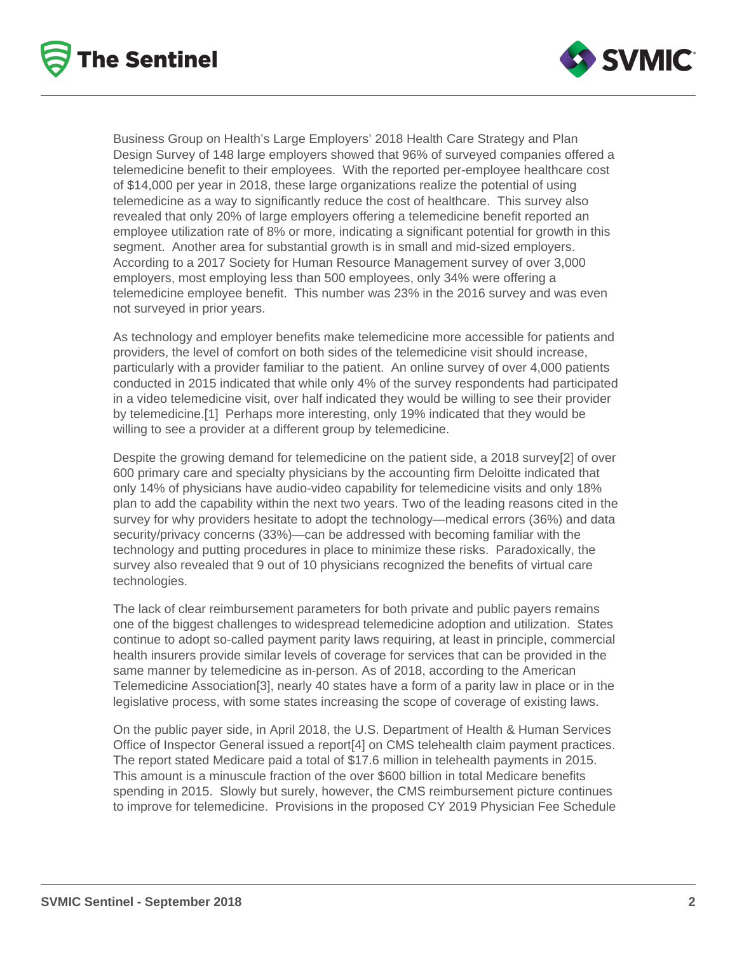



Business Group on Health's Large Employers' 2018 Health Care Strategy and Plan Design Survey of 148 large employers showed that 96% of surveyed companies offered a telemedicine benefit to their employees. With the reported per-employee healthcare cost of \$14,000 per year in 2018, these large organizations realize the potential of using telemedicine as a way to significantly reduce the cost of healthcare. This survey also revealed that only 20% of large employers offering a telemedicine benefit reported an employee utilization rate of 8% or more, indicating a significant potential for growth in this segment. Another area for substantial growth is in small and mid-sized employers. According to a 2017 Society for Human Resource Management survey of over 3,000 employers, most employing less than 500 employees, only 34% were offering a telemedicine employee benefit. This number was 23% in the 2016 survey and was even not surveyed in prior years.

As technology and employer benefits make telemedicine more accessible for patients and providers, the level of comfort on both sides of the telemedicine visit should increase, particularly with a provider familiar to the patient. An online survey of over 4,000 patients conducted in 2015 indicated that while only 4% of the survey respondents had participated in a video telemedicine visit, over half indicated they would be willing to see their provider by telemedicine.[1] Perhaps more interesting, only 19% indicated that they would be willing to see a provider at a different group by telemedicine.

Despite the growing demand for telemedicine on the patient side, a 2018 survey[2] of over 600 primary care and specialty physicians by the accounting firm Deloitte indicated that only 14% of physicians have audio-video capability for telemedicine visits and only 18% plan to add the capability within the next two years. Two of the leading reasons cited in the survey for why providers hesitate to adopt the technology—medical errors (36%) and data security/privacy concerns (33%)—can be addressed with becoming familiar with the technology and putting procedures in place to minimize these risks. Paradoxically, the survey also revealed that 9 out of 10 physicians recognized the benefits of virtual care technologies.

The lack of clear reimbursement parameters for both private and public payers remains one of the biggest challenges to widespread telemedicine adoption and utilization. States continue to adopt so-called payment parity laws requiring, at least in principle, commercial health insurers provide similar levels of coverage for services that can be provided in the same manner by telemedicine as in-person. As of 2018, according to the American Telemedicine Association[3], nearly 40 states have a form of a parity law in place or in the legislative process, with some states increasing the scope of coverage of existing laws.

On the public payer side, in April 2018, the U.S. Department of Health & Human Services Office of Inspector General issued a report[4] on CMS telehealth claim payment practices. The report stated Medicare paid a total of \$17.6 million in telehealth payments in 2015. This amount is a minuscule fraction of the over \$600 billion in total Medicare benefits spending in 2015. Slowly but surely, however, the CMS reimbursement picture continues to improve for telemedicine. Provisions in the proposed CY 2019 Physician Fee Schedule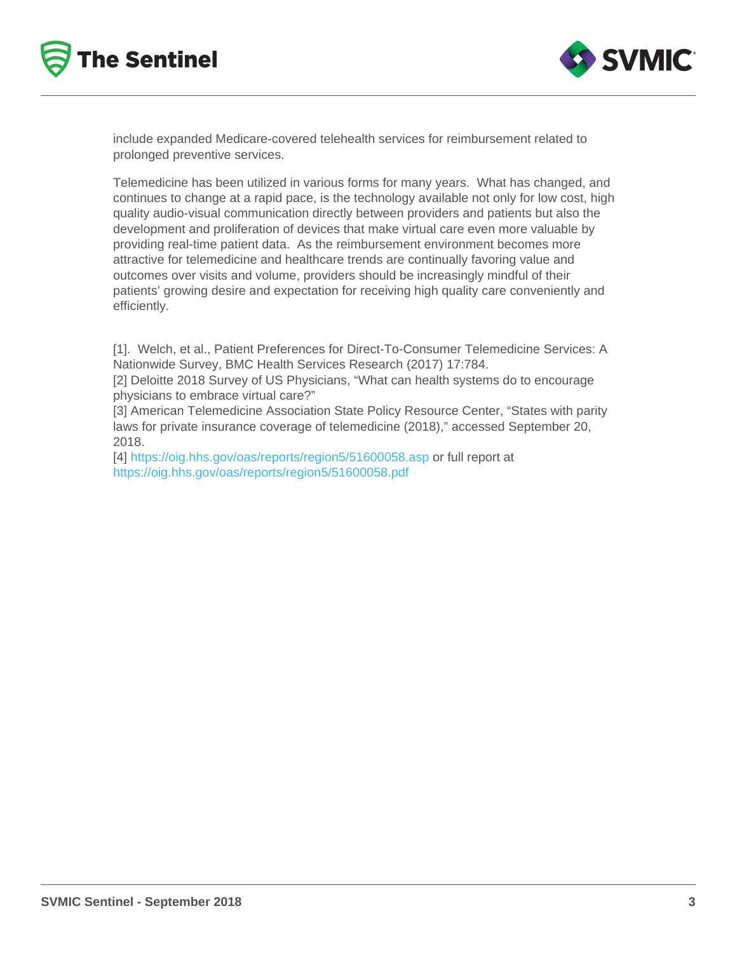include expanded Medicare-covered telehealth services for reimbursement related to prolonged preventive services.

Telemedicine has been utilized in various forms for many years. What has changed, and continues to change at a rapid pace, is the technology available not only for low cost, high quality audio-visual communication directly between providers and patients but also the development and proliferation of devices that make virtual care even more valuable by providing real-time patient data. As the reimbursement environment becomes more attractive for telemedicine and healthcare trends are continually favoring value and outcomes over visits and volume, providers should be increasingly mindful of their patients' growing desire and expectation for receiving high quality care conveniently and efficiently.

[1]. Welch, et al., Patient Preferences for Direct-To-Consumer Telemedicine Services: A Nationwide Survey, BMC Health Services Research (2017) 17:784.

[2] Deloitte 2018 Survey of US Physicians, "What can health systems do to encourage physicians to embrace virtual care?"

[3] American Telemedicine Association State Policy Resource Center, "States with parity laws for private insurance coverage of telemedicine (2018)," accessed September 20, 2018.

[4] <https://oig.hhs.gov/oas/reports/region5/51600058.asp>or full report at <https://oig.hhs.gov/oas/reports/region5/51600058.pdf>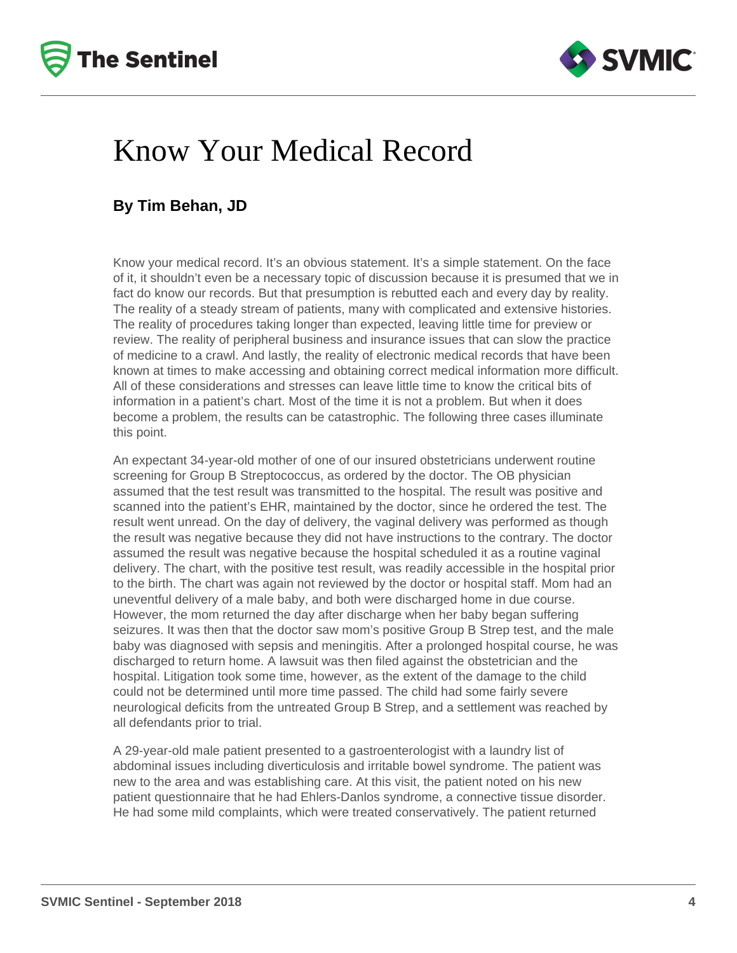



## Know Your Medical Record

#### **By Tim Behan, JD**

Know your medical record. It's an obvious statement. It's a simple statement. On the face of it, it shouldn't even be a necessary topic of discussion because it is presumed that we in fact do know our records. But that presumption is rebutted each and every day by reality. The reality of a steady stream of patients, many with complicated and extensive histories. The reality of procedures taking longer than expected, leaving little time for preview or review. The reality of peripheral business and insurance issues that can slow the practice of medicine to a crawl. And lastly, the reality of electronic medical records that have been known at times to make accessing and obtaining correct medical information more difficult. All of these considerations and stresses can leave little time to know the critical bits of information in a patient's chart. Most of the time it is not a problem. But when it does become a problem, the results can be catastrophic. The following three cases illuminate this point.

An expectant 34-year-old mother of one of our insured obstetricians underwent routine screening for Group B Streptococcus, as ordered by the doctor. The OB physician assumed that the test result was transmitted to the hospital. The result was positive and scanned into the patient's EHR, maintained by the doctor, since he ordered the test. The result went unread. On the day of delivery, the vaginal delivery was performed as though the result was negative because they did not have instructions to the contrary. The doctor assumed the result was negative because the hospital scheduled it as a routine vaginal delivery. The chart, with the positive test result, was readily accessible in the hospital prior to the birth. The chart was again not reviewed by the doctor or hospital staff. Mom had an uneventful delivery of a male baby, and both were discharged home in due course. However, the mom returned the day after discharge when her baby began suffering seizures. It was then that the doctor saw mom's positive Group B Strep test, and the male baby was diagnosed with sepsis and meningitis. After a prolonged hospital course, he was discharged to return home. A lawsuit was then filed against the obstetrician and the hospital. Litigation took some time, however, as the extent of the damage to the child could not be determined until more time passed. The child had some fairly severe neurological deficits from the untreated Group B Strep, and a settlement was reached by all defendants prior to trial.

A 29-year-old male patient presented to a gastroenterologist with a laundry list of abdominal issues including diverticulosis and irritable bowel syndrome. The patient was new to the area and was establishing care. At this visit, the patient noted on his new patient questionnaire that he had Ehlers-Danlos syndrome, a connective tissue disorder. He had some mild complaints, which were treated conservatively. The patient returned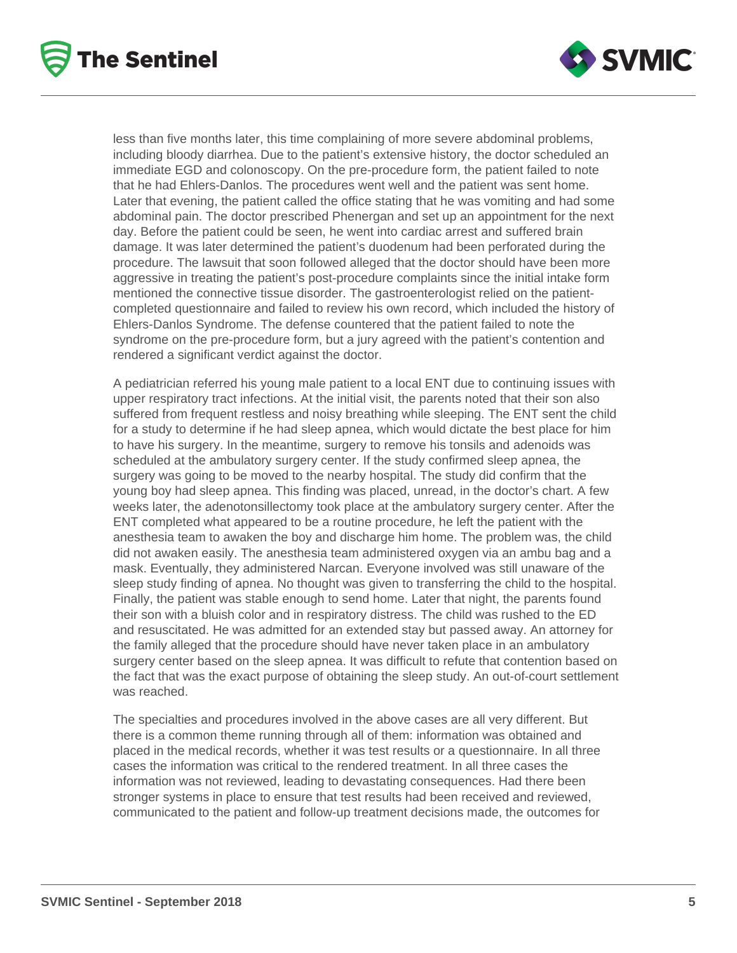



less than five months later, this time complaining of more severe abdominal problems, including bloody diarrhea. Due to the patient's extensive history, the doctor scheduled an immediate EGD and colonoscopy. On the pre-procedure form, the patient failed to note that he had Ehlers-Danlos. The procedures went well and the patient was sent home. Later that evening, the patient called the office stating that he was vomiting and had some abdominal pain. The doctor prescribed Phenergan and set up an appointment for the next day. Before the patient could be seen, he went into cardiac arrest and suffered brain damage. It was later determined the patient's duodenum had been perforated during the procedure. The lawsuit that soon followed alleged that the doctor should have been more aggressive in treating the patient's post-procedure complaints since the initial intake form mentioned the connective tissue disorder. The gastroenterologist relied on the patientcompleted questionnaire and failed to review his own record, which included the history of Ehlers-Danlos Syndrome. The defense countered that the patient failed to note the syndrome on the pre-procedure form, but a jury agreed with the patient's contention and rendered a significant verdict against the doctor.

A pediatrician referred his young male patient to a local ENT due to continuing issues with upper respiratory tract infections. At the initial visit, the parents noted that their son also suffered from frequent restless and noisy breathing while sleeping. The ENT sent the child for a study to determine if he had sleep apnea, which would dictate the best place for him to have his surgery. In the meantime, surgery to remove his tonsils and adenoids was scheduled at the ambulatory surgery center. If the study confirmed sleep apnea, the surgery was going to be moved to the nearby hospital. The study did confirm that the young boy had sleep apnea. This finding was placed, unread, in the doctor's chart. A few weeks later, the adenotonsillectomy took place at the ambulatory surgery center. After the ENT completed what appeared to be a routine procedure, he left the patient with the anesthesia team to awaken the boy and discharge him home. The problem was, the child did not awaken easily. The anesthesia team administered oxygen via an ambu bag and a mask. Eventually, they administered Narcan. Everyone involved was still unaware of the sleep study finding of apnea. No thought was given to transferring the child to the hospital. Finally, the patient was stable enough to send home. Later that night, the parents found their son with a bluish color and in respiratory distress. The child was rushed to the ED and resuscitated. He was admitted for an extended stay but passed away. An attorney for the family alleged that the procedure should have never taken place in an ambulatory surgery center based on the sleep apnea. It was difficult to refute that contention based on the fact that was the exact purpose of obtaining the sleep study. An out-of-court settlement was reached.

The specialties and procedures involved in the above cases are all very different. But there is a common theme running through all of them: information was obtained and placed in the medical records, whether it was test results or a questionnaire. In all three cases the information was critical to the rendered treatment. In all three cases the information was not reviewed, leading to devastating consequences. Had there been stronger systems in place to ensure that test results had been received and reviewed, communicated to the patient and follow-up treatment decisions made, the outcomes for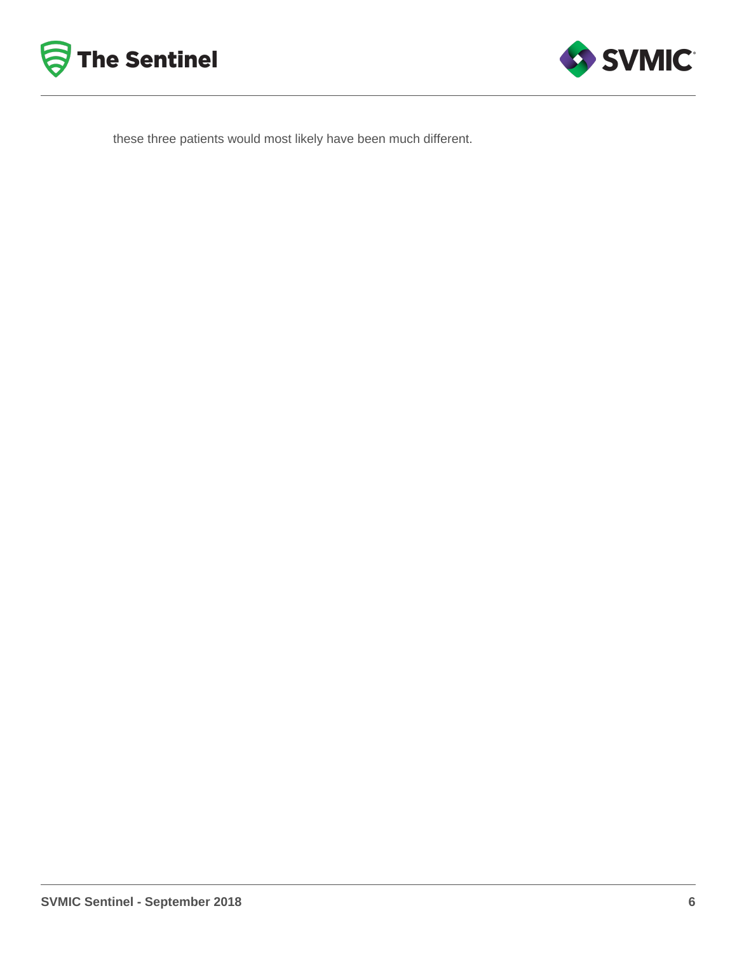



these three patients would most likely have been much different.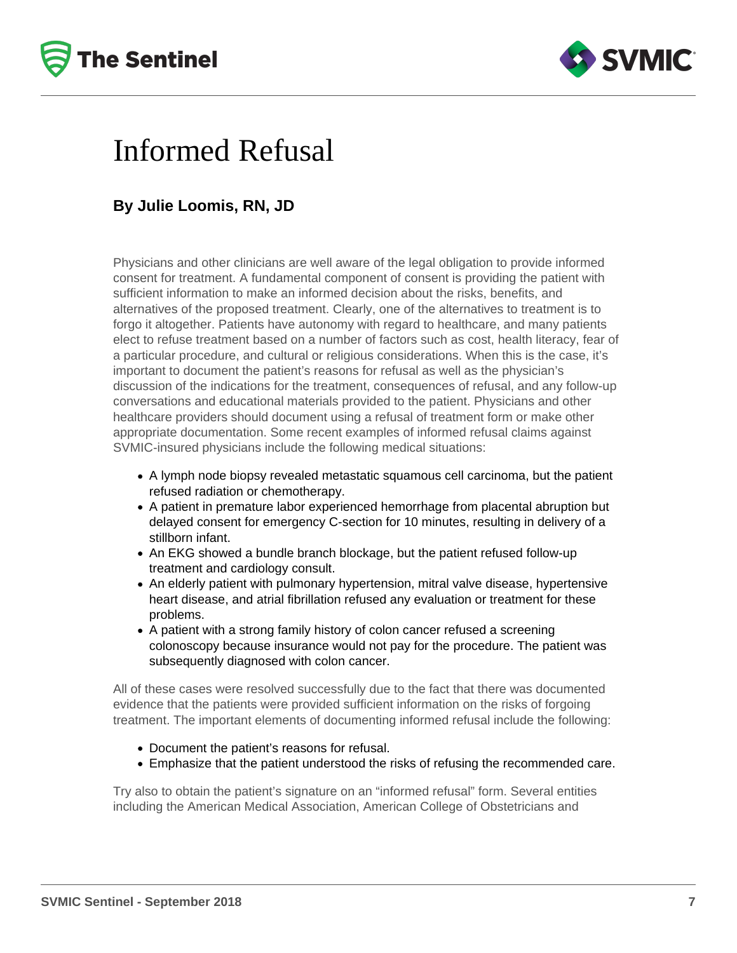



## Informed Refusal

### **By Julie Loomis, RN, JD**

Physicians and other clinicians are well aware of the legal obligation to provide informed consent for treatment. A fundamental component of consent is providing the patient with sufficient information to make an informed decision about the risks, benefits, and alternatives of the proposed treatment. Clearly, one of the alternatives to treatment is to forgo it altogether. Patients have autonomy with regard to healthcare, and many patients elect to refuse treatment based on a number of factors such as cost, health literacy, fear of a particular procedure, and cultural or religious considerations. When this is the case, it's important to document the patient's reasons for refusal as well as the physician's discussion of the indications for the treatment, consequences of refusal, and any follow-up conversations and educational materials provided to the patient. Physicians and other healthcare providers should document using a refusal of treatment form or make other appropriate documentation. Some recent examples of informed refusal claims against SVMIC-insured physicians include the following medical situations:

- A lymph node biopsy revealed metastatic squamous cell carcinoma, but the patient refused radiation or chemotherapy.
- A patient in premature labor experienced hemorrhage from placental abruption but delayed consent for emergency C-section for 10 minutes, resulting in delivery of a stillborn infant.
- An EKG showed a bundle branch blockage, but the patient refused follow-up treatment and cardiology consult.
- An elderly patient with pulmonary hypertension, mitral valve disease, hypertensive heart disease, and atrial fibrillation refused any evaluation or treatment for these problems.
- A patient with a strong family history of colon cancer refused a screening colonoscopy because insurance would not pay for the procedure. The patient was subsequently diagnosed with colon cancer.

All of these cases were resolved successfully due to the fact that there was documented evidence that the patients were provided sufficient information on the risks of forgoing treatment. The important elements of documenting informed refusal include the following:

- Document the patient's reasons for refusal.
- Emphasize that the patient understood the risks of refusing the recommended care.

Try also to obtain the patient's signature on an "informed refusal" form. Several entities including the American Medical Association, American College of Obstetricians and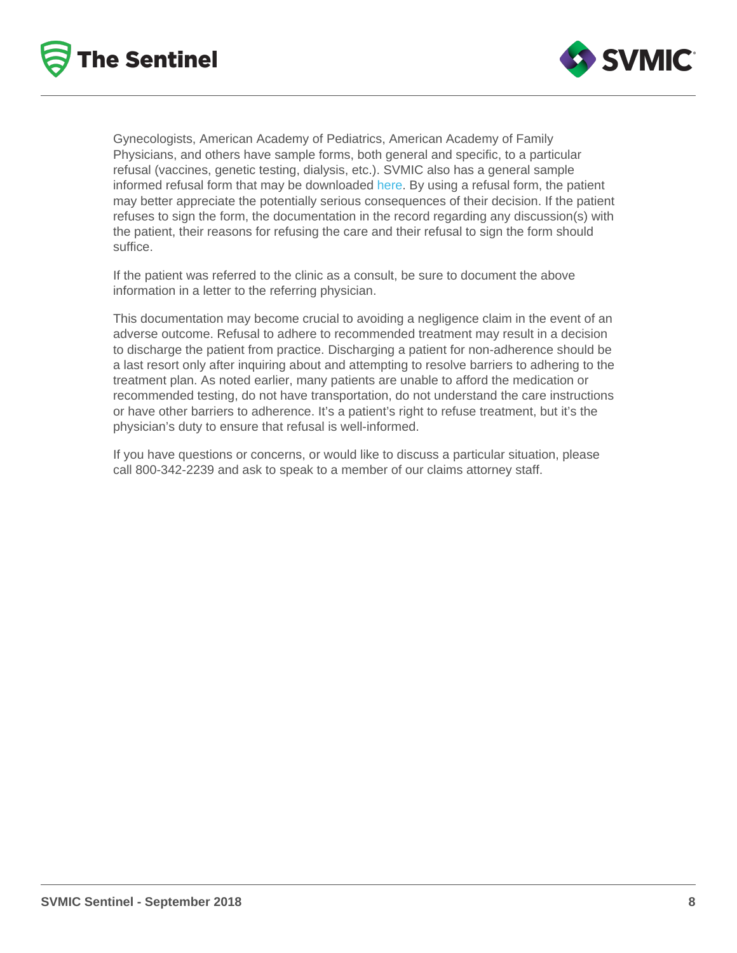Gynecologists, American Academy of Pediatrics, American Academy of Family Physicians, and others have sample forms, both general and specific, to a particular refusal (vaccines, genetic testing, dialysis, etc.). SVMIC also has a general sample informed refusal form that may be downloaded [here](/resources/clinical-processes). By using a refusal form, the patient may better appreciate the potentially serious consequences of their decision. If the patient refuses to sign the form, the documentation in the record regarding any discussion(s) with the patient, their reasons for refusing the care and their refusal to sign the form should suffice.

If the patient was referred to the clinic as a consult, be sure to document the above information in a letter to the referring physician.

This documentation may become crucial to avoiding a negligence claim in the event of an adverse outcome. Refusal to adhere to recommended treatment may result in a decision to discharge the patient from practice. Discharging a patient for non-adherence should be a last resort only after inquiring about and attempting to resolve barriers to adhering to the treatment plan. As noted earlier, many patients are unable to afford the medication or recommended testing, do not have transportation, do not understand the care instructions or have other barriers to adherence. It's a patient's right to refuse treatment, but it's the physician's duty to ensure that refusal is well-informed.

If you have questions or concerns, or would like to discuss a particular situation, please call 800-342-2239 and ask to speak to a member of our claims attorney staff.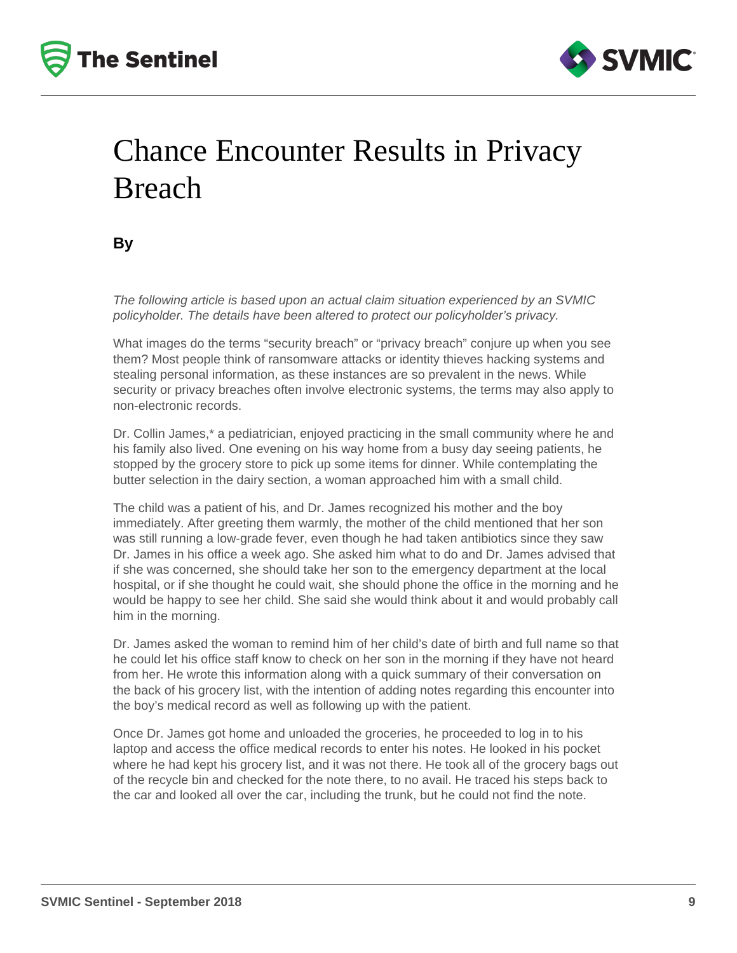



# Chance Encounter Results in Privacy Breach

**By**

The following article is based upon an actual claim situation experienced by an SVMIC policyholder. The details have been altered to protect our policyholder's privacy.

What images do the terms "security breach" or "privacy breach" conjure up when you see them? Most people think of ransomware attacks or identity thieves hacking systems and stealing personal information, as these instances are so prevalent in the news. While security or privacy breaches often involve electronic systems, the terms may also apply to non-electronic records.

Dr. Collin James,\* a pediatrician, enjoyed practicing in the small community where he and his family also lived. One evening on his way home from a busy day seeing patients, he stopped by the grocery store to pick up some items for dinner. While contemplating the butter selection in the dairy section, a woman approached him with a small child.

The child was a patient of his, and Dr. James recognized his mother and the boy immediately. After greeting them warmly, the mother of the child mentioned that her son was still running a low-grade fever, even though he had taken antibiotics since they saw Dr. James in his office a week ago. She asked him what to do and Dr. James advised that if she was concerned, she should take her son to the emergency department at the local hospital, or if she thought he could wait, she should phone the office in the morning and he would be happy to see her child. She said she would think about it and would probably call him in the morning.

Dr. James asked the woman to remind him of her child's date of birth and full name so that he could let his office staff know to check on her son in the morning if they have not heard from her. He wrote this information along with a quick summary of their conversation on the back of his grocery list, with the intention of adding notes regarding this encounter into the boy's medical record as well as following up with the patient.

Once Dr. James got home and unloaded the groceries, he proceeded to log in to his laptop and access the office medical records to enter his notes. He looked in his pocket where he had kept his grocery list, and it was not there. He took all of the grocery bags out of the recycle bin and checked for the note there, to no avail. He traced his steps back to the car and looked all over the car, including the trunk, but he could not find the note.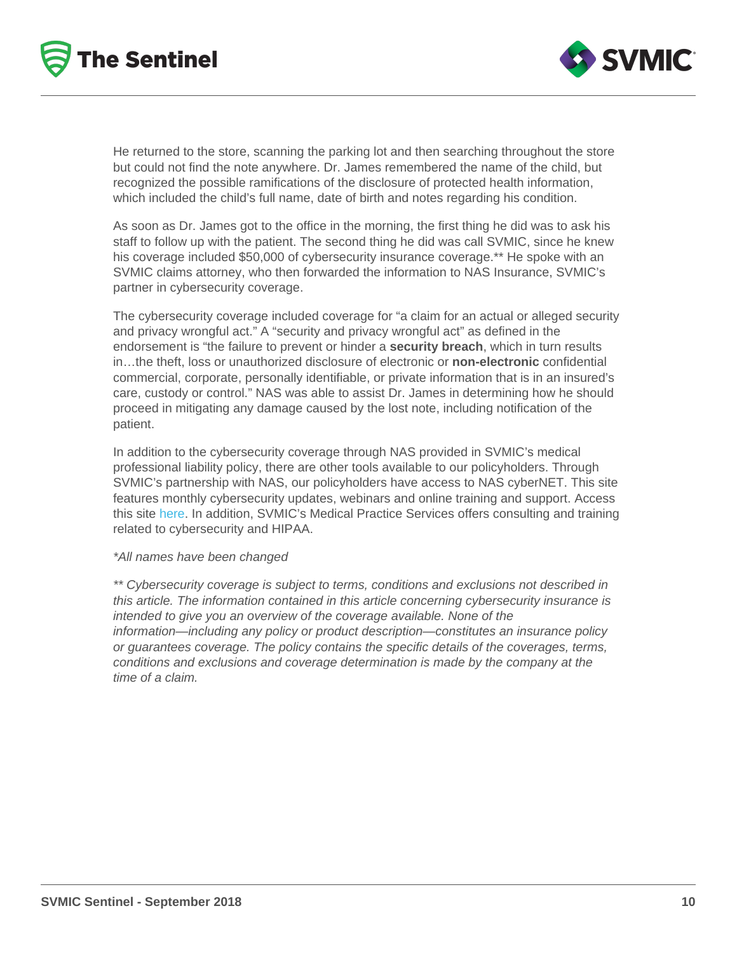He returned to the store, scanning the parking lot and then searching throughout the store but could not find the note anywhere. Dr. James remembered the name of the child, but recognized the possible ramifications of the disclosure of protected health information, which included the child's full name, date of birth and notes regarding his condition.

As soon as Dr. James got to the office in the morning, the first thing he did was to ask his staff to follow up with the patient. The second thing he did was call SVMIC, since he knew his coverage included \$50,000 of cybersecurity insurance coverage.\*\* He spoke with an SVMIC claims attorney, who then forwarded the information to NAS Insurance, SVMIC's partner in cybersecurity coverage.

The cybersecurity coverage included coverage for "a claim for an actual or alleged security and privacy wrongful act." A "security and privacy wrongful act" as defined in the endorsement is "the failure to prevent or hinder a security breach , which in turn results in…the theft, loss or unauthorized disclosure of electronic or non-electronic confidential commercial, corporate, personally identifiable, or private information that is in an insured's care, custody or control." NAS was able to assist Dr. James in determining how he should proceed in mitigating any damage caused by the lost note, including notification of the patient.

In addition to the cybersecurity coverage through NAS provided in SVMIC's medical professional liability policy, there are other tools available to our policyholders. Through SVMIC's partnership with NAS, our policyholders have access to NAS cyberNET. This site features monthly cybersecurity updates, webinars and online training and support. Access this site [here.](/resources/cyber-security) In addition, SVMIC's Medical Practice Services offers consulting and training related to cybersecurity and HIPAA.

#### \*All names have been changed

\*\* Cybersecurity coverage is subject to terms, conditions and exclusions not described in this article. The information contained in this article concerning cybersecurity insurance is intended to give you an overview of the coverage available. None of the information—including any policy or product description—constitutes an insurance policy or guarantees coverage. The policy contains the specific details of the coverages, terms, conditions and exclusions and coverage determination is made by the company at the time of a claim.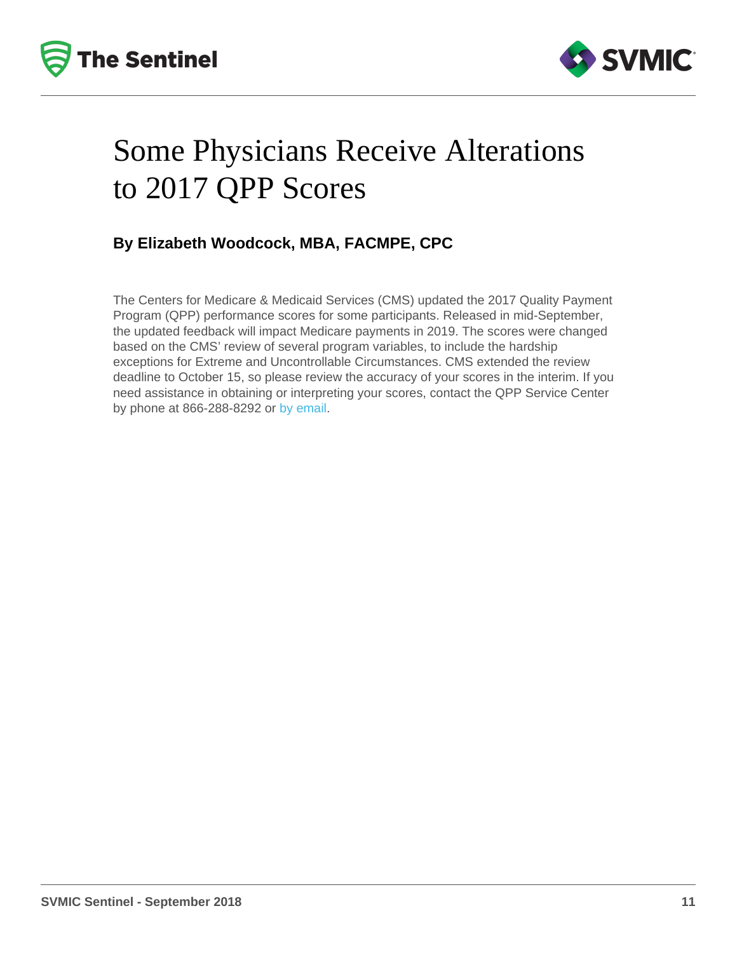# Some Physicians Receive Alterations to 2017 QPP Scores

By Elizabeth Woodcock, MBA, FACMPE, CPC

The Centers for Medicare & Medicaid Services (CMS) updated the 2017 Quality Payment Program (QPP) performance scores for some participants. Released in mid-September, the updated feedback will impact Medicare payments in 2019. The scores were changed based on the CMS' review of several program variables, to include the hardship exceptions for Extreme and Uncontrollable Circumstances. CMS extended the review deadline to October 15, so please review the accuracy of your scores in the interim. If you need assistance in obtaining or interpreting your scores, contact the QPP Service Center by phone at 866-288-8292 or [by email](mailto:QPP@cms.hhs.gov).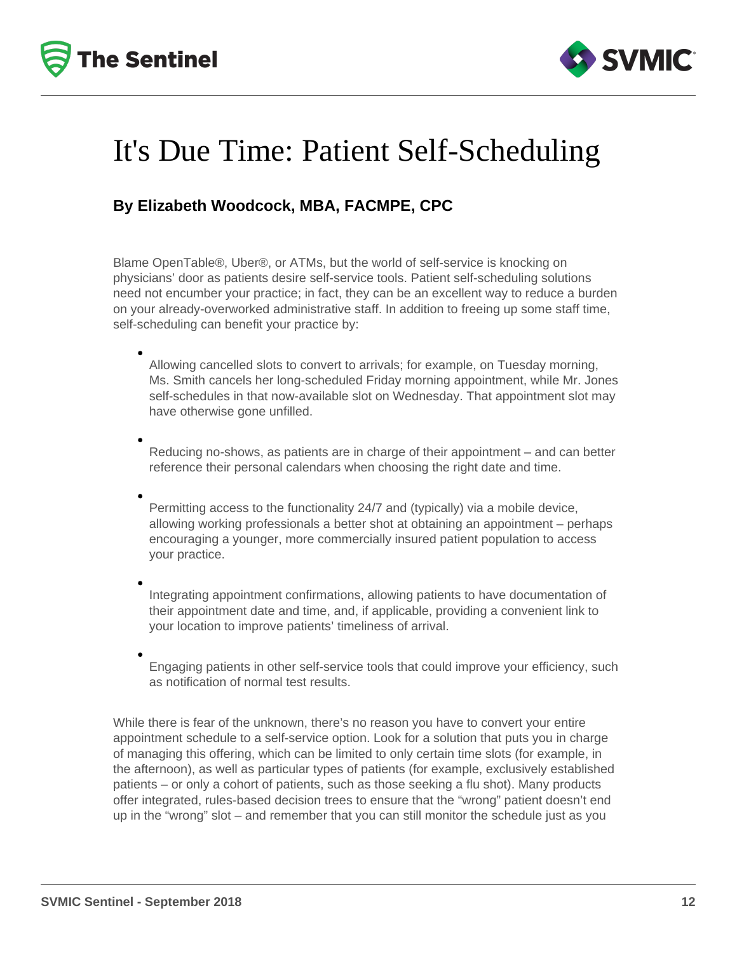



## It's Due Time: Patient Self-Scheduling

#### **By Elizabeth Woodcock, MBA, FACMPE, CPC**

Blame OpenTable®, Uber®, or ATMs, but the world of self-service is knocking on physicians' door as patients desire self-service tools. Patient self-scheduling solutions need not encumber your practice; in fact, they can be an excellent way to reduce a burden on your already-overworked administrative staff. In addition to freeing up some staff time, self-scheduling can benefit your practice by:

Allowing cancelled slots to convert to arrivals; for example, on Tuesday morning, Ms. Smith cancels her long-scheduled Friday morning appointment, while Mr. Jones self-schedules in that now-available slot on Wednesday. That appointment slot may have otherwise gone unfilled.

Reducing no-shows, as patients are in charge of their appointment – and can better reference their personal calendars when choosing the right date and time.

Permitting access to the functionality 24/7 and (typically) via a mobile device, allowing working professionals a better shot at obtaining an appointment – perhaps encouraging a younger, more commercially insured patient population to access your practice.

Integrating appointment confirmations, allowing patients to have documentation of their appointment date and time, and, if applicable, providing a convenient link to your location to improve patients' timeliness of arrival.

Engaging patients in other self-service tools that could improve your efficiency, such as notification of normal test results.

While there is fear of the unknown, there's no reason you have to convert your entire appointment schedule to a self-service option. Look for a solution that puts you in charge of managing this offering, which can be limited to only certain time slots (for example, in the afternoon), as well as particular types of patients (for example, exclusively established patients – or only a cohort of patients, such as those seeking a flu shot). Many products offer integrated, rules-based decision trees to ensure that the "wrong" patient doesn't end up in the "wrong" slot – and remember that you can still monitor the schedule just as you